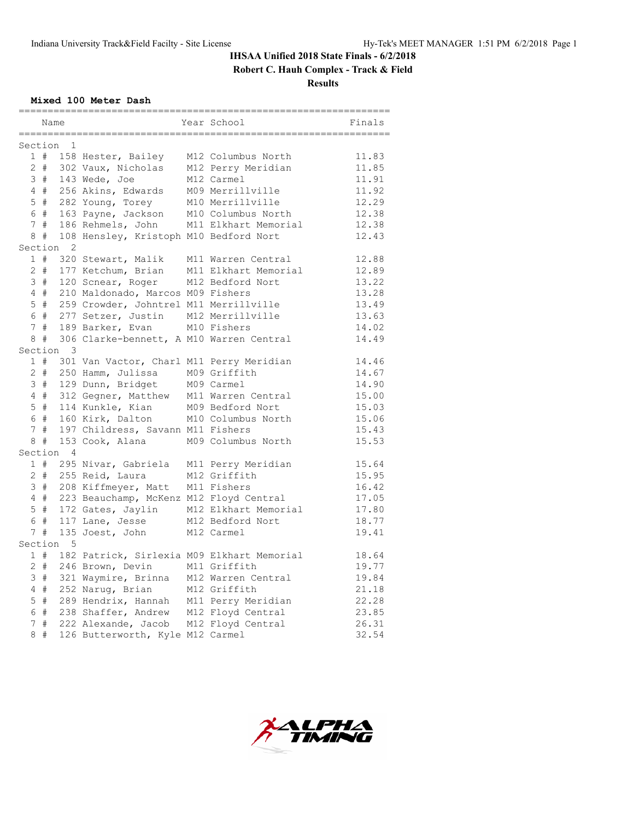**Robert C. Hauh Complex - Track & Field**

**Results**

## **Mixed 100 Meter Dash**

| Section<br>1<br>11.83<br>1 # 158 Hester, Bailey<br>M12 Columbus North<br>2 # 302 Vaux, Nicholas<br>M12 Perry Meridian<br>11.85<br>11.91<br>3 # 143 Wede, Joe<br>M12 Carmel<br>4 # 256 Akins, Edwards M09 Merrillville<br>11.92<br>5 # 282 Young, Torey<br>M10 Merrillville<br>12.29<br>6 # 163 Payne, Jackson<br>M10 Columbus North<br>12.38<br>7 # 186 Rehmels, John M11 Elkhart Memorial<br>12.38<br>8 # 108 Hensley, Kristoph M10 Bedford Nort<br>12.43<br>Section<br>2<br>320 Stewart, Malik<br>1#<br>M11 Warren Central<br>12.88<br>2 # 177 Ketchum, Brian<br>M11 Elkhart Memorial<br>12.89<br>3 # 120 Scnear, Roger M12 Bedford Nort<br>13.22<br>4 # 210 Maldonado, Marcos M09 Fishers<br>13.28<br>5 # 259 Crowder, Johntrel M11 Merrillville<br>13.49<br>6 # 277 Setzer, Justin<br>M12 Merrillville<br>13.63<br>7 # 189 Barker, Evan<br>M10 Fishers<br>14.02<br>8 # 306 Clarke-bennett, A M10 Warren Central<br>14.49<br>Section 3<br>1 # 301 Van Vactor, Charl M11 Perry Meridian<br>14.46<br>2 # 250 Hamm, Julissa<br>M09 Griffith<br>14.67<br>3 # 129 Dunn, Bridget<br>M09 Carmel<br>14.90<br>4 # 312 Gegner, Matthew M11 Warren Central<br>15.00<br>5 # 114 Kunkle, Kian M09 Bedford Nort<br>15.03<br>6 # 160 Kirk, Dalton<br>M10 Columbus North<br>15.06<br>7#<br>197 Childress, Savann M11 Fishers<br>15.43<br>8#<br>153 Cook, Alana<br>M09 Columbus North<br>15.53<br>Section 4<br>15.64<br>1 # 295 Nivar, Gabriela M11 Perry Meridian<br>2 # 255 Reid, Laura<br>M12 Griffith<br>15.95<br>3 # 208 Kiffmeyer, Matt<br>M11 Fishers<br>16.42<br>4 # 223 Beauchamp, McKenz M12 Floyd Central<br>17.05<br>5 # 172 Gates, Jaylin M12 Elkhart Memorial<br>17.80<br>6 # 117 Lane, Jesse<br>M12 Bedford Nort<br>18.77<br>7#<br>135 Joest, John<br>M12 Carmel<br>19.41 | Name |  | Year School | Finals |
|----------------------------------------------------------------------------------------------------------------------------------------------------------------------------------------------------------------------------------------------------------------------------------------------------------------------------------------------------------------------------------------------------------------------------------------------------------------------------------------------------------------------------------------------------------------------------------------------------------------------------------------------------------------------------------------------------------------------------------------------------------------------------------------------------------------------------------------------------------------------------------------------------------------------------------------------------------------------------------------------------------------------------------------------------------------------------------------------------------------------------------------------------------------------------------------------------------------------------------------------------------------------------------------------------------------------------------------------------------------------------------------------------------------------------------------------------------------------------------------------------------------------------------------------------------------------------------------------------------------------------------------------------------------------------------------------------------------------------------------------------------------------------|------|--|-------------|--------|
|                                                                                                                                                                                                                                                                                                                                                                                                                                                                                                                                                                                                                                                                                                                                                                                                                                                                                                                                                                                                                                                                                                                                                                                                                                                                                                                                                                                                                                                                                                                                                                                                                                                                                                                                                                            |      |  |             |        |
|                                                                                                                                                                                                                                                                                                                                                                                                                                                                                                                                                                                                                                                                                                                                                                                                                                                                                                                                                                                                                                                                                                                                                                                                                                                                                                                                                                                                                                                                                                                                                                                                                                                                                                                                                                            |      |  |             |        |
|                                                                                                                                                                                                                                                                                                                                                                                                                                                                                                                                                                                                                                                                                                                                                                                                                                                                                                                                                                                                                                                                                                                                                                                                                                                                                                                                                                                                                                                                                                                                                                                                                                                                                                                                                                            |      |  |             |        |
|                                                                                                                                                                                                                                                                                                                                                                                                                                                                                                                                                                                                                                                                                                                                                                                                                                                                                                                                                                                                                                                                                                                                                                                                                                                                                                                                                                                                                                                                                                                                                                                                                                                                                                                                                                            |      |  |             |        |
|                                                                                                                                                                                                                                                                                                                                                                                                                                                                                                                                                                                                                                                                                                                                                                                                                                                                                                                                                                                                                                                                                                                                                                                                                                                                                                                                                                                                                                                                                                                                                                                                                                                                                                                                                                            |      |  |             |        |
|                                                                                                                                                                                                                                                                                                                                                                                                                                                                                                                                                                                                                                                                                                                                                                                                                                                                                                                                                                                                                                                                                                                                                                                                                                                                                                                                                                                                                                                                                                                                                                                                                                                                                                                                                                            |      |  |             |        |
|                                                                                                                                                                                                                                                                                                                                                                                                                                                                                                                                                                                                                                                                                                                                                                                                                                                                                                                                                                                                                                                                                                                                                                                                                                                                                                                                                                                                                                                                                                                                                                                                                                                                                                                                                                            |      |  |             |        |
|                                                                                                                                                                                                                                                                                                                                                                                                                                                                                                                                                                                                                                                                                                                                                                                                                                                                                                                                                                                                                                                                                                                                                                                                                                                                                                                                                                                                                                                                                                                                                                                                                                                                                                                                                                            |      |  |             |        |
|                                                                                                                                                                                                                                                                                                                                                                                                                                                                                                                                                                                                                                                                                                                                                                                                                                                                                                                                                                                                                                                                                                                                                                                                                                                                                                                                                                                                                                                                                                                                                                                                                                                                                                                                                                            |      |  |             |        |
|                                                                                                                                                                                                                                                                                                                                                                                                                                                                                                                                                                                                                                                                                                                                                                                                                                                                                                                                                                                                                                                                                                                                                                                                                                                                                                                                                                                                                                                                                                                                                                                                                                                                                                                                                                            |      |  |             |        |
|                                                                                                                                                                                                                                                                                                                                                                                                                                                                                                                                                                                                                                                                                                                                                                                                                                                                                                                                                                                                                                                                                                                                                                                                                                                                                                                                                                                                                                                                                                                                                                                                                                                                                                                                                                            |      |  |             |        |
|                                                                                                                                                                                                                                                                                                                                                                                                                                                                                                                                                                                                                                                                                                                                                                                                                                                                                                                                                                                                                                                                                                                                                                                                                                                                                                                                                                                                                                                                                                                                                                                                                                                                                                                                                                            |      |  |             |        |
|                                                                                                                                                                                                                                                                                                                                                                                                                                                                                                                                                                                                                                                                                                                                                                                                                                                                                                                                                                                                                                                                                                                                                                                                                                                                                                                                                                                                                                                                                                                                                                                                                                                                                                                                                                            |      |  |             |        |
|                                                                                                                                                                                                                                                                                                                                                                                                                                                                                                                                                                                                                                                                                                                                                                                                                                                                                                                                                                                                                                                                                                                                                                                                                                                                                                                                                                                                                                                                                                                                                                                                                                                                                                                                                                            |      |  |             |        |
|                                                                                                                                                                                                                                                                                                                                                                                                                                                                                                                                                                                                                                                                                                                                                                                                                                                                                                                                                                                                                                                                                                                                                                                                                                                                                                                                                                                                                                                                                                                                                                                                                                                                                                                                                                            |      |  |             |        |
|                                                                                                                                                                                                                                                                                                                                                                                                                                                                                                                                                                                                                                                                                                                                                                                                                                                                                                                                                                                                                                                                                                                                                                                                                                                                                                                                                                                                                                                                                                                                                                                                                                                                                                                                                                            |      |  |             |        |
|                                                                                                                                                                                                                                                                                                                                                                                                                                                                                                                                                                                                                                                                                                                                                                                                                                                                                                                                                                                                                                                                                                                                                                                                                                                                                                                                                                                                                                                                                                                                                                                                                                                                                                                                                                            |      |  |             |        |
|                                                                                                                                                                                                                                                                                                                                                                                                                                                                                                                                                                                                                                                                                                                                                                                                                                                                                                                                                                                                                                                                                                                                                                                                                                                                                                                                                                                                                                                                                                                                                                                                                                                                                                                                                                            |      |  |             |        |
|                                                                                                                                                                                                                                                                                                                                                                                                                                                                                                                                                                                                                                                                                                                                                                                                                                                                                                                                                                                                                                                                                                                                                                                                                                                                                                                                                                                                                                                                                                                                                                                                                                                                                                                                                                            |      |  |             |        |
|                                                                                                                                                                                                                                                                                                                                                                                                                                                                                                                                                                                                                                                                                                                                                                                                                                                                                                                                                                                                                                                                                                                                                                                                                                                                                                                                                                                                                                                                                                                                                                                                                                                                                                                                                                            |      |  |             |        |
|                                                                                                                                                                                                                                                                                                                                                                                                                                                                                                                                                                                                                                                                                                                                                                                                                                                                                                                                                                                                                                                                                                                                                                                                                                                                                                                                                                                                                                                                                                                                                                                                                                                                                                                                                                            |      |  |             |        |
|                                                                                                                                                                                                                                                                                                                                                                                                                                                                                                                                                                                                                                                                                                                                                                                                                                                                                                                                                                                                                                                                                                                                                                                                                                                                                                                                                                                                                                                                                                                                                                                                                                                                                                                                                                            |      |  |             |        |
|                                                                                                                                                                                                                                                                                                                                                                                                                                                                                                                                                                                                                                                                                                                                                                                                                                                                                                                                                                                                                                                                                                                                                                                                                                                                                                                                                                                                                                                                                                                                                                                                                                                                                                                                                                            |      |  |             |        |
|                                                                                                                                                                                                                                                                                                                                                                                                                                                                                                                                                                                                                                                                                                                                                                                                                                                                                                                                                                                                                                                                                                                                                                                                                                                                                                                                                                                                                                                                                                                                                                                                                                                                                                                                                                            |      |  |             |        |
|                                                                                                                                                                                                                                                                                                                                                                                                                                                                                                                                                                                                                                                                                                                                                                                                                                                                                                                                                                                                                                                                                                                                                                                                                                                                                                                                                                                                                                                                                                                                                                                                                                                                                                                                                                            |      |  |             |        |
|                                                                                                                                                                                                                                                                                                                                                                                                                                                                                                                                                                                                                                                                                                                                                                                                                                                                                                                                                                                                                                                                                                                                                                                                                                                                                                                                                                                                                                                                                                                                                                                                                                                                                                                                                                            |      |  |             |        |
|                                                                                                                                                                                                                                                                                                                                                                                                                                                                                                                                                                                                                                                                                                                                                                                                                                                                                                                                                                                                                                                                                                                                                                                                                                                                                                                                                                                                                                                                                                                                                                                                                                                                                                                                                                            |      |  |             |        |
|                                                                                                                                                                                                                                                                                                                                                                                                                                                                                                                                                                                                                                                                                                                                                                                                                                                                                                                                                                                                                                                                                                                                                                                                                                                                                                                                                                                                                                                                                                                                                                                                                                                                                                                                                                            |      |  |             |        |
|                                                                                                                                                                                                                                                                                                                                                                                                                                                                                                                                                                                                                                                                                                                                                                                                                                                                                                                                                                                                                                                                                                                                                                                                                                                                                                                                                                                                                                                                                                                                                                                                                                                                                                                                                                            |      |  |             |        |
|                                                                                                                                                                                                                                                                                                                                                                                                                                                                                                                                                                                                                                                                                                                                                                                                                                                                                                                                                                                                                                                                                                                                                                                                                                                                                                                                                                                                                                                                                                                                                                                                                                                                                                                                                                            |      |  |             |        |
|                                                                                                                                                                                                                                                                                                                                                                                                                                                                                                                                                                                                                                                                                                                                                                                                                                                                                                                                                                                                                                                                                                                                                                                                                                                                                                                                                                                                                                                                                                                                                                                                                                                                                                                                                                            |      |  |             |        |
|                                                                                                                                                                                                                                                                                                                                                                                                                                                                                                                                                                                                                                                                                                                                                                                                                                                                                                                                                                                                                                                                                                                                                                                                                                                                                                                                                                                                                                                                                                                                                                                                                                                                                                                                                                            |      |  |             |        |
|                                                                                                                                                                                                                                                                                                                                                                                                                                                                                                                                                                                                                                                                                                                                                                                                                                                                                                                                                                                                                                                                                                                                                                                                                                                                                                                                                                                                                                                                                                                                                                                                                                                                                                                                                                            |      |  |             |        |
|                                                                                                                                                                                                                                                                                                                                                                                                                                                                                                                                                                                                                                                                                                                                                                                                                                                                                                                                                                                                                                                                                                                                                                                                                                                                                                                                                                                                                                                                                                                                                                                                                                                                                                                                                                            |      |  |             |        |
|                                                                                                                                                                                                                                                                                                                                                                                                                                                                                                                                                                                                                                                                                                                                                                                                                                                                                                                                                                                                                                                                                                                                                                                                                                                                                                                                                                                                                                                                                                                                                                                                                                                                                                                                                                            |      |  |             |        |
| Section 5                                                                                                                                                                                                                                                                                                                                                                                                                                                                                                                                                                                                                                                                                                                                                                                                                                                                                                                                                                                                                                                                                                                                                                                                                                                                                                                                                                                                                                                                                                                                                                                                                                                                                                                                                                  |      |  |             |        |
| 1 # 182 Patrick, Sirlexia M09 Elkhart Memorial<br>18.64                                                                                                                                                                                                                                                                                                                                                                                                                                                                                                                                                                                                                                                                                                                                                                                                                                                                                                                                                                                                                                                                                                                                                                                                                                                                                                                                                                                                                                                                                                                                                                                                                                                                                                                    |      |  |             |        |
| M11 Griffith<br>19.77                                                                                                                                                                                                                                                                                                                                                                                                                                                                                                                                                                                                                                                                                                                                                                                                                                                                                                                                                                                                                                                                                                                                                                                                                                                                                                                                                                                                                                                                                                                                                                                                                                                                                                                                                      |      |  |             |        |
| 2 # 246 Brown, Devin<br>19.84                                                                                                                                                                                                                                                                                                                                                                                                                                                                                                                                                                                                                                                                                                                                                                                                                                                                                                                                                                                                                                                                                                                                                                                                                                                                                                                                                                                                                                                                                                                                                                                                                                                                                                                                              |      |  |             |        |
| 3 # 321 Waymire, Brinna M12 Warren Central<br>4 # 252 Narug, Brian                                                                                                                                                                                                                                                                                                                                                                                                                                                                                                                                                                                                                                                                                                                                                                                                                                                                                                                                                                                                                                                                                                                                                                                                                                                                                                                                                                                                                                                                                                                                                                                                                                                                                                         |      |  |             |        |
| M12 Griffith<br>21.18<br>5 # 289 Hendrix, Hannah M11 Perry Meridian                                                                                                                                                                                                                                                                                                                                                                                                                                                                                                                                                                                                                                                                                                                                                                                                                                                                                                                                                                                                                                                                                                                                                                                                                                                                                                                                                                                                                                                                                                                                                                                                                                                                                                        |      |  |             |        |
| 22.28<br>6 # 238 Shaffer, Andrew<br>M12 Floyd Central<br>23.85                                                                                                                                                                                                                                                                                                                                                                                                                                                                                                                                                                                                                                                                                                                                                                                                                                                                                                                                                                                                                                                                                                                                                                                                                                                                                                                                                                                                                                                                                                                                                                                                                                                                                                             |      |  |             |        |
| 7 # 222 Alexande, Jacob<br>M12 Floyd Central<br>26.31                                                                                                                                                                                                                                                                                                                                                                                                                                                                                                                                                                                                                                                                                                                                                                                                                                                                                                                                                                                                                                                                                                                                                                                                                                                                                                                                                                                                                                                                                                                                                                                                                                                                                                                      |      |  |             |        |
| 8#<br>126 Butterworth, Kyle M12 Carmel<br>32.54                                                                                                                                                                                                                                                                                                                                                                                                                                                                                                                                                                                                                                                                                                                                                                                                                                                                                                                                                                                                                                                                                                                                                                                                                                                                                                                                                                                                                                                                                                                                                                                                                                                                                                                            |      |  |             |        |

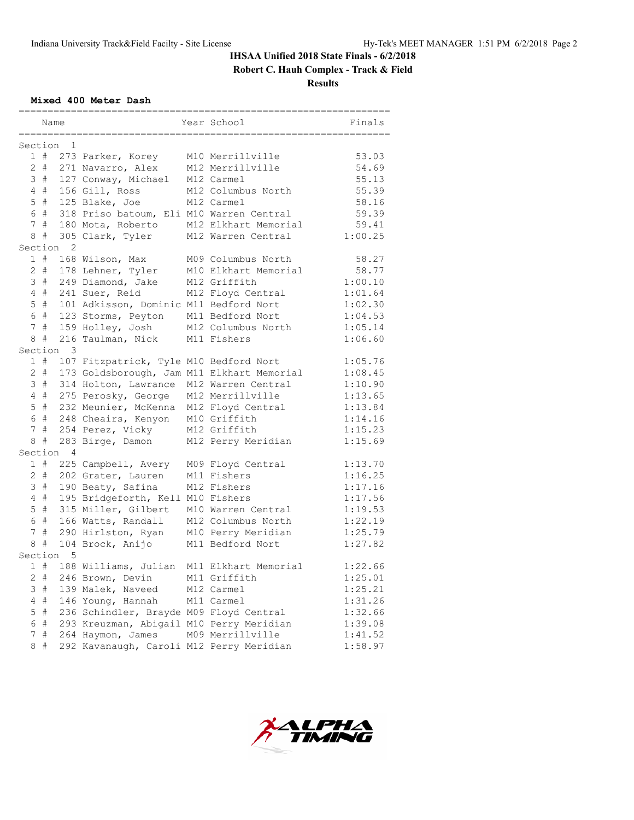**Robert C. Hauh Complex - Track & Field**

**Results**

**Mixed 400 Meter Dash**

|                        | Name   |                |                                            |  | Year School          | Finals  |
|------------------------|--------|----------------|--------------------------------------------|--|----------------------|---------|
| ------<br>Section<br>1 |        |                |                                            |  |                      |         |
|                        |        |                | 1 # 273 Parker, Korey                      |  | M10 Merrillville     | 53.03   |
|                        |        |                | 2 # 271 Navarro, Alex                      |  | M12 Merrillville     | 54.69   |
|                        |        |                | 3 # 127 Conway, Michael                    |  | M12 Carmel           | 55.13   |
|                        | 4#     |                | 156 Gill, Ross                             |  | M12 Columbus North   | 55.39   |
|                        | $5$ #  |                | 125 Blake, Joe                             |  | M12 Carmel           | 58.16   |
|                        | 6 #    |                | 318 Priso batoum, Eli M10 Warren Central   |  |                      | 59.39   |
|                        | 7#     |                | 180 Mota, Roberto                          |  | M12 Elkhart Memorial | 59.41   |
|                        | 8#     |                | 305 Clark, Tyler                           |  | M12 Warren Central   | 1:00.25 |
| Section                |        | 2              |                                            |  |                      |         |
|                        | 1#     |                | 168 Wilson, Max                            |  | M09 Columbus North   | 58.27   |
|                        |        |                | 2 # 178 Lehner, Tyler                      |  | M10 Elkhart Memorial | 58.77   |
|                        |        |                | 3 # 249 Diamond, Jake                      |  | M12 Griffith         | 1:00.10 |
|                        | 4#     |                | 241 Suer, Reid                             |  | M12 Floyd Central    | 1:01.64 |
|                        | $5$ #  |                | 101 Adkisson, Dominic M11 Bedford Nort     |  |                      | 1:02.30 |
|                        | 6 #    |                | 123 Storms, Peyton                         |  | M11 Bedford Nort     | 1:04.53 |
|                        | 7#     |                | 159 Holley, Josh                           |  | M12 Columbus North   | 1:05.14 |
|                        | 8#     |                | 216 Taulman, Nick                          |  | M11 Fishers          | 1:06.60 |
| Section 3              |        |                |                                            |  |                      |         |
|                        | 1#     |                | 107 Fitzpatrick, Tyle M10 Bedford Nort     |  |                      | 1:05.76 |
|                        | $2 \#$ |                | 173 Goldsborough, Jam M11 Elkhart Memorial |  |                      | 1:08.45 |
|                        | 3#     |                | 314 Holton, Lawrance                       |  | M12 Warren Central   | 1:10.90 |
|                        | 4#     |                | 275 Perosky, George                        |  | M12 Merrillville     | 1:13.65 |
|                        | $5$ #  |                | 232 Meunier, McKenna                       |  | M12 Floyd Central    | 1:13.84 |
|                        | 6 #    |                | 248 Cheairs, Kenyon                        |  | M10 Griffith         | 1:14.16 |
|                        | 7#     |                | 254 Perez, Vicky                           |  | M12 Griffith         | 1:15.23 |
|                        | 8#     |                | 283 Birge, Damon                           |  | M12 Perry Meridian   | 1:15.69 |
| Section                |        | $\overline{4}$ |                                            |  |                      |         |
|                        | 1#     |                | 225 Campbell, Avery                        |  | M09 Floyd Central    | 1:13.70 |
|                        | 2 #    |                | 202 Grater, Lauren                         |  | M11 Fishers          | 1:16.25 |
|                        | 3#     |                | 190 Beaty, Safina                          |  | M12 Fishers          | 1:17.16 |
|                        | 4#     |                | 195 Bridgeforth, Kell M10 Fishers          |  |                      | 1:17.56 |
|                        | 5#     |                | 315 Miller, Gilbert                        |  | M10 Warren Central   | 1:19.53 |
|                        | 6 #    |                | 166 Watts, Randall                         |  | M12 Columbus North   | 1:22.19 |
|                        | 7#     |                | 290 Hirlston, Ryan                         |  | M10 Perry Meridian   | 1:25.79 |
| 8                      | #      |                | 104 Brock, Anijo                           |  | M11 Bedford Nort     | 1:27.82 |
| Section                |        | 5              |                                            |  |                      |         |
|                        | 1#     |                | 188 Williams, Julian                       |  | M11 Elkhart Memorial | 1:22.66 |
|                        | $2 +$  |                | 246 Brown, Devin                           |  | M11 Griffith         | 1:25.01 |
| 3                      | #      |                | 139 Malek, Naveed                          |  | M12 Carmel           | 1:25.21 |
| 4                      | #      |                | 146 Young, Hannah                          |  | M11 Carmel           | 1:31.26 |
| 5                      | #      |                | 236 Schindler, Brayde M09 Floyd Central    |  |                      | 1:32.66 |
| 6                      | $\#$   |                | 293 Kreuzman, Abigail M10 Perry Meridian   |  |                      | 1:39.08 |
| 7                      | $\#$   |                | 264 Haymon, James                          |  | M09 Merrillville     | 1:41.52 |
| 8                      | $\#$   |                | 292 Kavanaugh, Caroli M12 Perry Meridian   |  |                      | 1:58.97 |

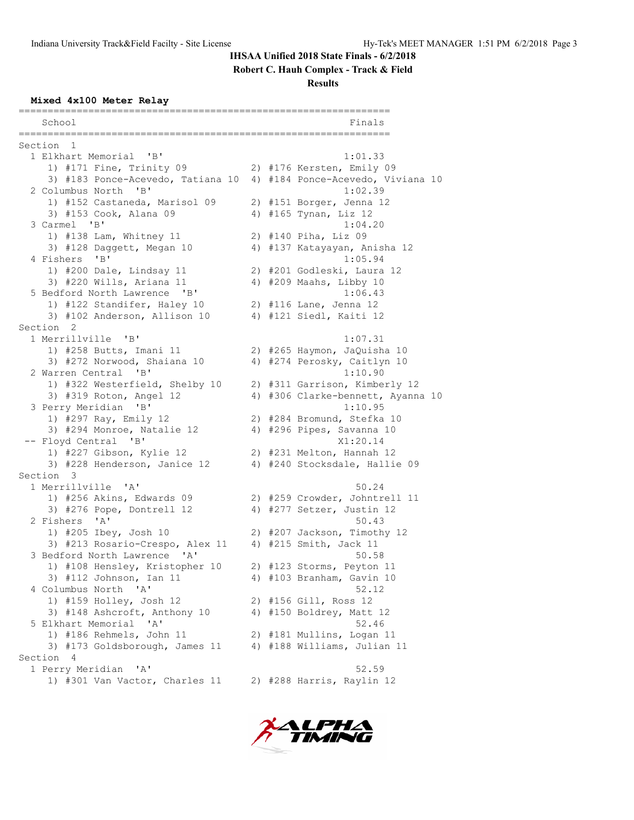**Robert C. Hauh Complex - Track & Field**

**Results**

#### **Mixed 4x100 Meter Relay**

================================================================ School Finals ================================================================ Section 1<br>1 Elkhart Memorial 'B' 1 Elkhart Memorial 'B' 1:01.33 1) #171 Fine, Trinity 09 2) #176 Kersten, Emily 09 3) #183 Ponce-Acevedo, Tatiana 10 4) #184 Ponce-Acevedo, Viviana 10 2 Columbus North 'B'  $1:02.39$  2 Columbus North 'B' 1:02.39 1) #152 Castaneda, Marisol 09 2) #151 Borger, Jenna 12 3) #153 Cook, Alana 09 4) #165 Tynan, Liz 12 3 Carmel 'B' 1:04.20 1) #138 Lam, Whitney 11 2) #140 Piha, Liz 09 3) #128 Daggett, Megan 10 4) #137 Katayayan, Anisha 12 4 Fishers 'B' 1:05.94 1) #200 Dale, Lindsay 11 2) #201 Godleski, Laura 12 3) #220 Wills, Ariana 11 4) #209 Maahs, Libby 10 5 Bedford North Lawrence 'B' 1:06.43 1) #122 Standifer, Haley 10 2) #116 Lane, Jenna 12 3) #102 Anderson, Allison 10 4) #121 Siedl, Kaiti 12 Section 2<br>1 Merrillville 'B' 1 Merrillville 'B' 1:07.31 1) #258 Butts, Imani 11 2) #265 Haymon, JaQuisha 10 3) #272 Norwood, Shaiana 10 4) #274 Perosky, Caitlyn 10 2 Warren Central 'B' 1:10.90 1) #322 Westerfield, Shelby 10 2) #311 Garrison, Kimberly 12 3) #319 Roton, Angel 12 4) #306 Clarke-bennett, Ayanna 10 3 Perry Meridian 'B' 1:10.95 1) #297 Ray, Emily 12 2) #284 Bromund, Stefka 10 3) #294 Monroe, Natalie 12 4) #296 Pipes, Savanna 10 -- Floyd Central 'B' X1:20.14 1) #227 Gibson, Kylie 12 2) #231 Melton, Hannah 12 3) #228 Henderson, Janice 12 4) #240 Stocksdale, Hallie 09 Section 3 1 Merrillville 'A' 50.24 1) #256 Akins, Edwards 09 2) #259 Crowder, Johntrell 11 3) #276 Pope, Dontrell 12 4) #277 Setzer, Justin 12 2 Fishers 'A' 50.43 1) #205 Ibey, Josh 10 2) #207 Jackson, Timothy 12 3) #213 Rosario-Crespo, Alex 11 4) #215 Smith, Jack 11 3 Bedford North Lawrence 'A' 50.58 1) #108 Hensley, Kristopher 10 2) #123 Storms, Peyton 11 3) #112 Johnson, Ian 11 4) #103 Branham, Gavin 10 4 Columbus North 'A' 52.12 1) #159 Holley, Josh 12 2) #156 Gill, Ross 12 3) #148 Ashcroft, Anthony 10 4) #150 Boldrey, Matt 12 5 Elkhart Memorial 'A' 52.46 1) #186 Rehmels, John 11 2) #181 Mullins, Logan 11 3) #173 Goldsborough, James 11 4) #188 Williams, Julian 11 Section 4 1 Perry Meridian 'A' 52.59 1) #301 Van Vactor, Charles 11 2) #288 Harris, Raylin 12

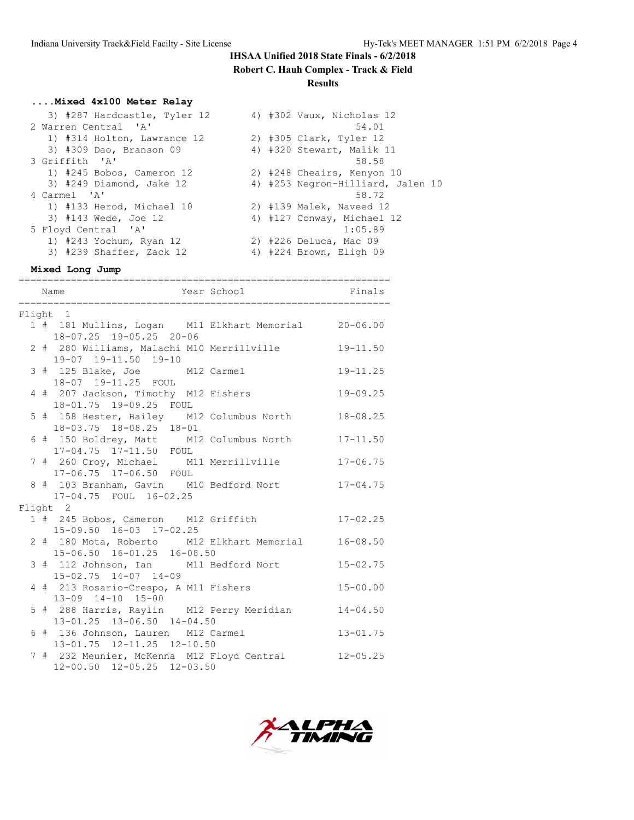**Robert C. Hauh Complex - Track & Field**

**Results**

# **....Mixed 4x100 Meter Relay**

| 3) #287 Hardcastle, Tyler 12 | 4) #302 Vaux, Nicholas 12         |  |
|------------------------------|-----------------------------------|--|
| 2 Warren Central 'A'         | 54.01                             |  |
| 1) #314 Holton, Lawrance 12  | 2) #305 Clark, Tyler 12           |  |
| 3) #309 Dao, Branson 09      | 4) #320 Stewart, Malik 11         |  |
| 3 Griffith 'A'               | 58.58                             |  |
| 1) #245 Bobos, Cameron 12    | 2) #248 Cheairs, Kenyon 10        |  |
| $3)$ #249 Diamond, Jake 12   | 4) #253 Negron-Hilliard, Jalen 10 |  |
| 4 Carmel 'A'                 | 58.72                             |  |
| 1) #133 Herod, Michael 10    | 2) #139 Malek, Naveed 12          |  |
| 3) #143 Wede, Joe 12         | 4) #127 Conway, Michael 12        |  |
| 5 Floyd Central 'A'          | 1:05.89                           |  |
| 1) #243 Yochum, Ryan 12      | 2) #226 Deluca, Mac 09            |  |
| 3) #239 Shaffer, Zack 12     | 4) #224 Brown, Eligh 09           |  |
|                              |                                   |  |

**Mixed Long Jump**

| Year School Finals<br>Name                                                      |              |
|---------------------------------------------------------------------------------|--------------|
| Flight 1                                                                        |              |
| 1 # 181 Mullins, Logan M11 Elkhart Memorial 20-06.00<br>18-07.25 19-05.25 20-06 |              |
| 2 # 280 Williams, Malachi M10 Merrillville<br>19-07 19-11.50 19-10              | $19 - 11.50$ |
| 3 # 125 Blake, Joe M12 Carmel<br>18-07 19-11.25 FOUL                            | $19 - 11.25$ |
| 4 # 207 Jackson, Timothy M12 Fishers<br>18-01.75 19-09.25 FOUL                  | $19 - 09.25$ |
| 5 # 158 Hester, Bailey M12 Columbus North<br>18-03.75 18-08.25 18-01            | $18 - 08.25$ |
| 6 # 150 Boldrey, Matt M12 Columbus North 17-11.50<br>17-04.75 17-11.50 FOUL     |              |
| 7 # 260 Croy, Michael M11 Merrillville<br>17-06.75  17-06.50  FOUL              | $17 - 06.75$ |
| 8 # 103 Branham, Gavin M10 Bedford Nort<br>17-04.75 FOUL 16-02.25               | $17 - 04.75$ |
| Flight 2                                                                        |              |
| 1 # 245 Bobos, Cameron M12 Griffith<br>15-09.50 16-03 17-02.25                  | $17 - 02.25$ |
| 2 # 180 Mota, Roberto M12 Elkhart Memorial<br>15-06.50 16-01.25 16-08.50        | $16 - 08.50$ |
| 3 # 112 Johnson, Ian M11 Bedford Nort<br>$15 - 02.75$ $14 - 07$ $14 - 09$       | $15 - 02.75$ |
| 4 # 213 Rosario-Crespo, A M11 Fishers<br>13-09 14-10 15-00                      | $15 - 00.00$ |
| 5 # 288 Harris, Raylin M12 Perry Meridian<br>13-01.25 13-06.50 14-04.50         | $14 - 04.50$ |
| 6 # 136 Johnson, Lauren M12 Carmel<br>13-01.75 12-11.25 12-10.50                | $13 - 01.75$ |
| 7 # 232 Meunier, McKenna M12 Floyd Central<br>12-00.50 12-05.25 12-03.50        | $12 - 05.25$ |

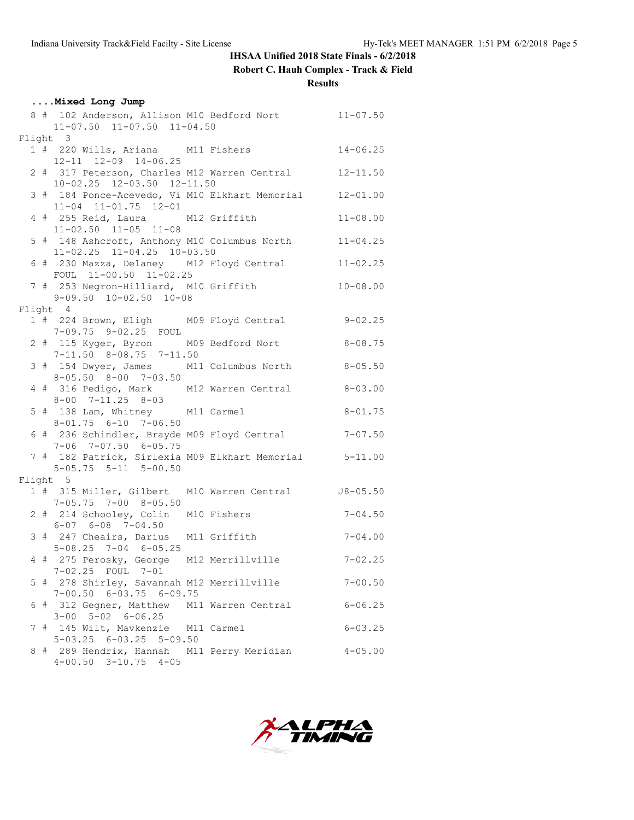**Robert C. Hauh Complex - Track & Field**

**Results**

|  | Mixed Long Jump                                                                       |              |
|--|---------------------------------------------------------------------------------------|--------------|
|  | 8 # 102 Anderson, Allison M10 Bedford Nort 11-07.50<br>11-07.50 11-07.50 11-04.50     |              |
|  | Flight 3                                                                              |              |
|  | 1 # 220 Wills, Ariana M11 Fishers                                                     | $14 - 06.25$ |
|  | 12-11 12-09 14-06.25<br>2 # 317 Peterson, Charles M12 Warren Central 12-11.50         |              |
|  | 10-02.25 12-03.50 12-11.50<br>3 # 184 Ponce-Acevedo, Vi M10 Elkhart Memorial 12-01.00 |              |
|  | $11-04$ $11-01.75$ $12-01$<br>4 # 255 Reid, Laura M12 Griffith                        | $11 - 08.00$ |
|  | $11-02.50$ $11-05$ $11-08$                                                            |              |
|  | 5 # 148 Ashcroft, Anthony M10 Columbus North 11-04.25<br>11-02.25 11-04.25 10-03.50   |              |
|  | 6 # 230 Mazza, Delaney M12 Floyd Central 11-02.25<br>FOUL 11-00.50 11-02.25           |              |
|  | 7 # 253 Negron-Hilliard, M10 Griffith<br>$9-09.50$ $10-02.50$ $10-08$                 | $10 - 08.00$ |
|  | Flight 4                                                                              |              |
|  | 1 # 224 Brown, Eligh M09 Floyd Central 9-02.25                                        |              |
|  | 7-09.75 9-02.25 FOUL                                                                  |              |
|  | 2 # 115 Kyger, Byron M09 Bedford Nort<br>$7-11.50$ $8-08.75$ $7-11.50$                | $8 - 08.75$  |
|  | 3 # 154 Dwyer, James M11 Columbus North 8-05.50<br>8-05.50 8-00 7-03.50               |              |
|  | 4 # 316 Pedigo, Mark M12 Warren Central 8-03.00<br>$8 - 00$ $7 - 11.25$ $8 - 03$      |              |
|  | 5 # 138 Lam, Whitney M11 Carmel<br>$8 - 01.75$ $6 - 10$ $7 - 06.50$                   | $8 - 01.75$  |
|  | 6 # 236 Schindler, Brayde M09 Floyd Central 7-07.50                                   |              |
|  | $7-06$ $7-07.50$ $6-05.75$<br>7 # 182 Patrick, Sirlexia M09 Elkhart Memorial 5-11.00  |              |
|  | $5-05.75$ $5-11$ $5-00.50$                                                            |              |
|  | Flight 5                                                                              |              |
|  | 1 # 315 Miller, Gilbert M10 Warren Central 58-05.50<br>$7-05.75$ $7-00$ $8-05.50$     |              |
|  | 2 # 214 Schooley, Colin M10 Fishers<br>$6 - 07$ $6 - 08$ $7 - 04.50$                  | $7 - 04.50$  |
|  | 3 # 247 Cheairs, Darius M11 Griffith<br>$5-08.25$ $7-04$ $6-05.25$                    | $7 - 04.00$  |
|  | 4 # 275 Perosky, George M12 Merrillville 7-02.25                                      |              |
|  | 7-02.25 FOUL 7-01<br>5 # 278 Shirley, Savannah M12 Merrillville                       | $7 - 00.50$  |
|  | $7-00.50$ 6-03.75 6-09.75<br>6 # 312 Gegner, Matthew M11 Warren Central               | $6 - 06.25$  |
|  | $3 - 00$ $5 - 02$ $6 - 06.25$<br>7 # 145 Wilt, Mavkenzie M11 Carmel                   | $6 - 03.25$  |
|  | $5-03.25$ $6-03.25$ $5-09.50$                                                         |              |
|  | 8 # 289 Hendrix, Hannah M11 Perry Meridian<br>$4-00.50$ $3-10.75$ $4-05$              | $4 - 05.00$  |

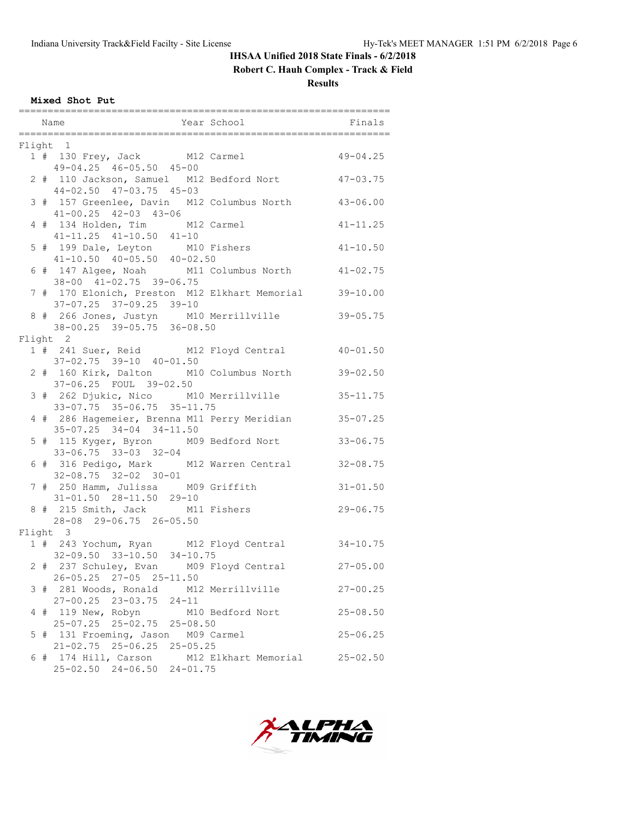**Robert C. Hauh Complex - Track & Field**

**Results**

**Mixed Shot Put**

|  | Flight 1                                                                               |              |
|--|----------------------------------------------------------------------------------------|--------------|
|  |                                                                                        |              |
|  | 1 # 130 Frey, Jack M12 Carmel 49-04.25<br>49-04.25 46-05.50 45-00                      |              |
|  | 2 # 110 Jackson, Samuel M12 Bedford Nort 47-03.75                                      |              |
|  | 44-02.50 47-03.75 45-03                                                                |              |
|  | 3 # 157 Greenlee, Davin M12 Columbus North 43-06.00                                    |              |
|  | $41 - 00.25$ $42 - 03$ $43 - 06$                                                       |              |
|  |                                                                                        | $41 - 11.25$ |
|  | 4 # 134 Holden, Tim M12 Carmel<br>41-11.25 41-10.50 41-10                              |              |
|  | 5 # 199 Dale, Leyton M10 Fishers 41-10.50                                              |              |
|  | $41-10.50$ $40-05.50$ $40-02.50$                                                       |              |
|  | 6 # 147 Algee, Noah M11 Columbus North 41-02.75                                        |              |
|  | 38-00 41-02.75 39-06.75                                                                |              |
|  | 7 # 170 Elonich, Preston M12 Elkhart Memorial 39-10.00                                 |              |
|  | $37-07.25$ $37-09.25$ $39-10$                                                          |              |
|  | 8 # 266 Jones, Justyn M10 Merrillville                                                 | $39 - 05.75$ |
|  | $38-00.25$ $39-05.75$ $36-08.50$                                                       |              |
|  | Flight 2                                                                               |              |
|  | 1 # 241 Suer, Reid M12 Floyd Central 40-01.50                                          |              |
|  | 37-02.75 39-10 40-01.50                                                                |              |
|  | 2 # 160 Kirk, Dalton M10 Columbus North                                                | $39 - 02.50$ |
|  | 37-06.25 FOUL 39-02.50                                                                 |              |
|  | 3 # 262 Djukic, Nico M10 Merrillville 35-11.75<br>33-07.75 35-06.75 35-11.75           |              |
|  |                                                                                        |              |
|  | 4 # 286 Hagemeier, Brenna M11 Perry Meridian 35-07.25<br>$35-07.25$ $34-04$ $34-11.50$ |              |
|  | 5 # 115 Kyger, Byron M09 Bedford Nort                                                  | $33 - 06.75$ |
|  | 33-06.75 33-03 32-04                                                                   |              |
|  | 6 # 316 Pedigo, Mark M12 Warren Central 32-08.75                                       |              |
|  | $32 - 08.75$ $32 - 02$ $30 - 01$                                                       |              |
|  | 7 # 250 Hamm, Julissa M09 Griffith                                                     | $31 - 01.50$ |
|  |                                                                                        |              |
|  |                                                                                        | $29 - 06.75$ |
|  | 28-08 29-06.75 26-05.50                                                                |              |
|  | Flight 3                                                                               |              |
|  | 1 # 243 Yochum, Ryan M12 Floyd Central 34-10.75                                        |              |
|  | 32-09.50 33-10.50 34-10.75                                                             |              |
|  | 2 # 237 Schuley, Evan M09 Floyd Central 27-05.00                                       |              |
|  | 26-05.25 27-05 25-11.50                                                                |              |
|  | 3 # 281 Woods, Ronald M12 Merrillville                                                 | $27 - 00.25$ |
|  | 27-00.25 23-03.75 24-11                                                                |              |
|  | 4 # 119 New, Robyn M10 Bedford Nort                                                    | $25 - 08.50$ |
|  | 25-07.25 25-02.75 25-08.50                                                             |              |
|  | 5 # 131 Froeming, Jason M09 Carmel                                                     | $25 - 06.25$ |
|  | 21-02.75 25-06.25 25-05.25                                                             |              |
|  | 6 # 174 Hill, Carson M12 Elkhart Memorial 25-02.50                                     |              |
|  | 25-02.50 24-06.50 24-01.75                                                             |              |